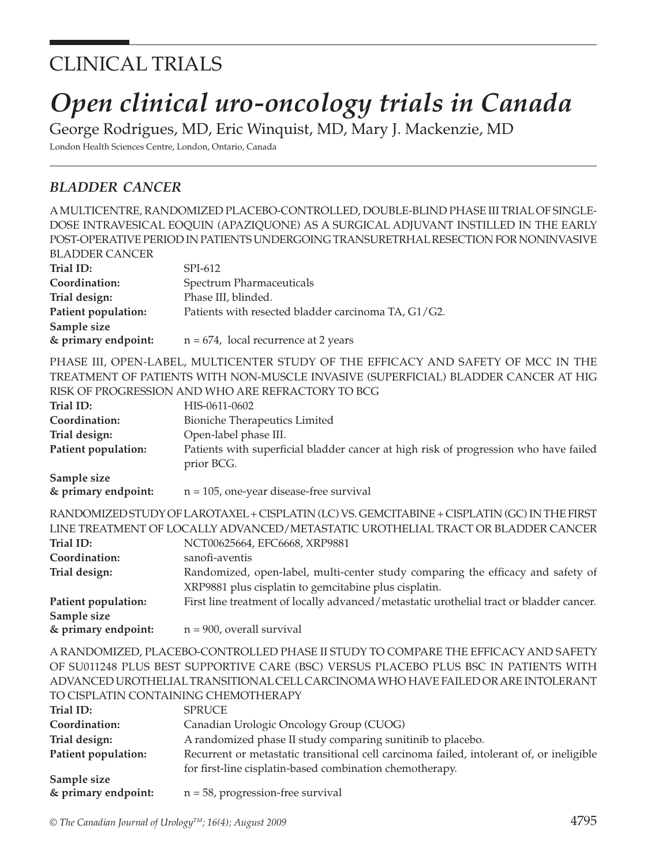# CLINICAL TRIALS

# *Open clinical uro-oncology trials in Canada*

George Rodrigues, MD, Eric Winquist, MD, Mary J. Mackenzie, MD London Health Sciences Centre, London, Ontario, Canada

### *BLADDER CANCER*

A MULTICENTRE, RANDOMIZED PLACEBO-CONTROLLED, DOUBLE-BLIND PHASE III TRIAL OF SINGLE-DOSE INTRAVESICAL EOQUIN (APAZIQUONE) AS A SURGICAL ADJUVANT INSTILLED IN THE EARLY POST-OPERATIVE PERIOD IN PATIENTS UNDERGOING TRANSURETRHAL RESECTION FOR NONINVASIVE

| <b>BLADDER CANCER</b> |                                                                                              |  |
|-----------------------|----------------------------------------------------------------------------------------------|--|
| Trial ID:             | SPI-612                                                                                      |  |
| Coordination:         | Spectrum Pharmaceuticals                                                                     |  |
| Trial design:         | Phase III, blinded.                                                                          |  |
| Patient population:   | Patients with resected bladder carcinoma TA, G1/G2.                                          |  |
| Sample size           |                                                                                              |  |
| & primary endpoint:   | $n = 674$ , local recurrence at 2 years                                                      |  |
|                       | PHASE III, OPEN-LABEL, MULTICENTER STUDY OF THE EFFICACY AND SAFETY OF MCC IN THE            |  |
|                       | TREATMENT OF PATIENTS WITH NON-MUSCLE INVASIVE (SUPERFICIAL) BLADDER CANCER AT HIG           |  |
|                       | RISK OF PROGRESSION AND WHO ARE REFRACTORY TO BCG                                            |  |
| Trial ID:             | HIS-0611-0602                                                                                |  |
| Coordination:         | <b>Bioniche Therapeutics Limited</b>                                                         |  |
| Trial design:         | Open-label phase III.                                                                        |  |
| Patient population:   | Patients with superficial bladder cancer at high risk of progression who have failed         |  |
|                       | prior BCG.                                                                                   |  |
| Sample size           |                                                                                              |  |
| & primary endpoint:   | $n = 105$ , one-year disease-free survival                                                   |  |
|                       | RANDOMIZED STUDY OF LAROTAXEL + CISPLATIN (LC) VS. GEMCITABINE + CISPLATIN (GC) IN THE FIRST |  |
|                       | LINE TREATMENT OF LOCALLY ADVANCED/METASTATIC UROTHELIAL TRACT OR BLADDER CANCER             |  |
| Trial ID:             | NCT00625664, EFC6668, XRP9881                                                                |  |
| Coordination:         | sanofi-aventis                                                                               |  |
| Trial design:         | Randomized, open-label, multi-center study comparing the efficacy and safety of              |  |
|                       | XRP9881 plus cisplatin to gemcitabine plus cisplatin.                                        |  |
| Patient population:   | First line treatment of locally advanced/metastatic urothelial tract or bladder cancer.      |  |
| Sample size           |                                                                                              |  |
| & primary endpoint:   | $n = 900$ , overall survival                                                                 |  |
|                       | A RANDOMIZED, PLACEBO-CONTROLLED PHASE II STUDY TO COMPARE THE EFFICACY AND SAFETY           |  |

A RANDOMIZED, PLACEBO-CONTROLLED PHASE II STUDY TO COMPARE THE EFFICACY AND SAFETY OF SU011248 PLUS BEST SUPPORTIVE CARE (BSC) VERSUS PLACEBO PLUS BSC IN PATIENTS WITH ADVANCED UROTHELIAL TRANSITIONAL CELL CARCINOMA WHO HAVE FAILED OR ARE INTOLERANT TO CISPLATIN CONTAINING CHEMOTHERAPY

| Trial ID:           | <b>SPRUCE</b>                                                                            |
|---------------------|------------------------------------------------------------------------------------------|
| Coordination:       | Canadian Urologic Oncology Group (CUOG)                                                  |
| Trial design:       | A randomized phase II study comparing sunitinib to placebo.                              |
| Patient population: | Recurrent or metastatic transitional cell carcinoma failed, intolerant of, or ineligible |
|                     | for first-line cisplatin-based combination chemotherapy.                                 |
| Sample size         |                                                                                          |
| & primary endpoint: | $n = 58$ , progression-free survival                                                     |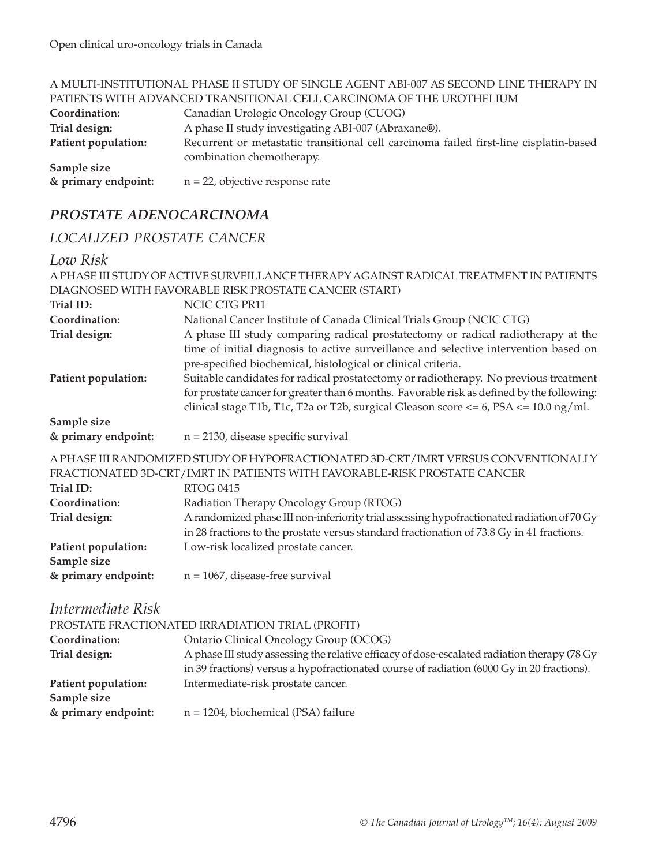|                     | A MULTI-INSTITUTIONAL PHASE II STUDY OF SINGLE AGENT ABI-007 AS SECOND LINE THERAPY IN |  |
|---------------------|----------------------------------------------------------------------------------------|--|
|                     | PATIENTS WITH ADVANCED TRANSITIONAL CELL CARCINOMA OF THE UROTHELIUM                   |  |
| Coordination:       | Canadian Urologic Oncology Group (CUOG)                                                |  |
| Trial design:       | A phase II study investigating ABI-007 (Abraxane®).                                    |  |
| Patient population: | Recurrent or metastatic transitional cell carcinoma failed first-line cisplatin-based  |  |
|                     | combination chemotherapy.                                                              |  |
| Sample size         |                                                                                        |  |
| & primary endpoint: | $n = 22$ , objective response rate                                                     |  |

# *PROSTATE ADENOCARCINOMA*

#### *LOCALIZED PROSTATE CANCER*

#### *Low Risk*

|                                    | A PHASE III STUDY OF ACTIVE SURVEILLANCE THERAPY AGAINST RADICAL TREATMENT IN PATIENTS                                                                                                                                                                                          |  |
|------------------------------------|---------------------------------------------------------------------------------------------------------------------------------------------------------------------------------------------------------------------------------------------------------------------------------|--|
|                                    | DIAGNOSED WITH FAVORABLE RISK PROSTATE CANCER (START)                                                                                                                                                                                                                           |  |
| Trial ID:                          | NCIC CTG PR11                                                                                                                                                                                                                                                                   |  |
| Coordination:                      | National Cancer Institute of Canada Clinical Trials Group (NCIC CTG)                                                                                                                                                                                                            |  |
| Trial design:                      | A phase III study comparing radical prostatectomy or radical radiotherapy at the<br>time of initial diagnosis to active surveillance and selective intervention based on<br>pre-specified biochemical, histological or clinical criteria.                                       |  |
| Patient population:                | Suitable candidates for radical prostatectomy or radiotherapy. No previous treatment<br>for prostate cancer for greater than 6 months. Favorable risk as defined by the following:<br>clinical stage T1b, T1c, T2a or T2b, surgical Gleason score $<= 6$ , PSA $<= 10.0$ ng/ml. |  |
| Sample size                        |                                                                                                                                                                                                                                                                                 |  |
| & primary endpoint:                | $n = 2130$ , disease specific survival                                                                                                                                                                                                                                          |  |
|                                    | A PHASE III RANDOMIZED STUDY OF HYPOFRACTIONATED 3D-CRT/IMRT VERSUS CONVENTIONALLY<br>FRACTIONATED 3D-CRT/IMRT IN PATIENTS WITH FAVORABLE-RISK PROSTATE CANCER                                                                                                                  |  |
| <b>Trial ID:</b>                   | <b>RTOG 0415</b>                                                                                                                                                                                                                                                                |  |
| Coordination:                      | Radiation Therapy Oncology Group (RTOG)                                                                                                                                                                                                                                         |  |
| Trial design:                      | A randomized phase III non-inferiority trial assessing hypofractionated radiation of 70 Gy<br>in 28 fractions to the prostate versus standard fractionation of 73.8 Gy in 41 fractions.                                                                                         |  |
| Patient population:                | Low-risk localized prostate cancer.                                                                                                                                                                                                                                             |  |
| Sample size                        |                                                                                                                                                                                                                                                                                 |  |
| & primary endpoint:                | $n = 1067$ , disease-free survival                                                                                                                                                                                                                                              |  |
| Intermediate Risk                  |                                                                                                                                                                                                                                                                                 |  |
|                                    | PROSTATE FRACTIONATED IRRADIATION TRIAL (PROFIT)                                                                                                                                                                                                                                |  |
| Coordination:                      | Ontario Clinical Oncology Group (OCOG)                                                                                                                                                                                                                                          |  |
| Trial design:                      | A phase III study assessing the relative efficacy of dose-escalated radiation therapy (78 Gy<br>in 39 fractions) versus a hypofractionated course of radiation (6000 Gy in 20 fractions).                                                                                       |  |
| Patient population:<br>Sample size | Intermediate-risk prostate cancer.                                                                                                                                                                                                                                              |  |
| & primary endpoint:                | $n = 1204$ , biochemical (PSA) failure                                                                                                                                                                                                                                          |  |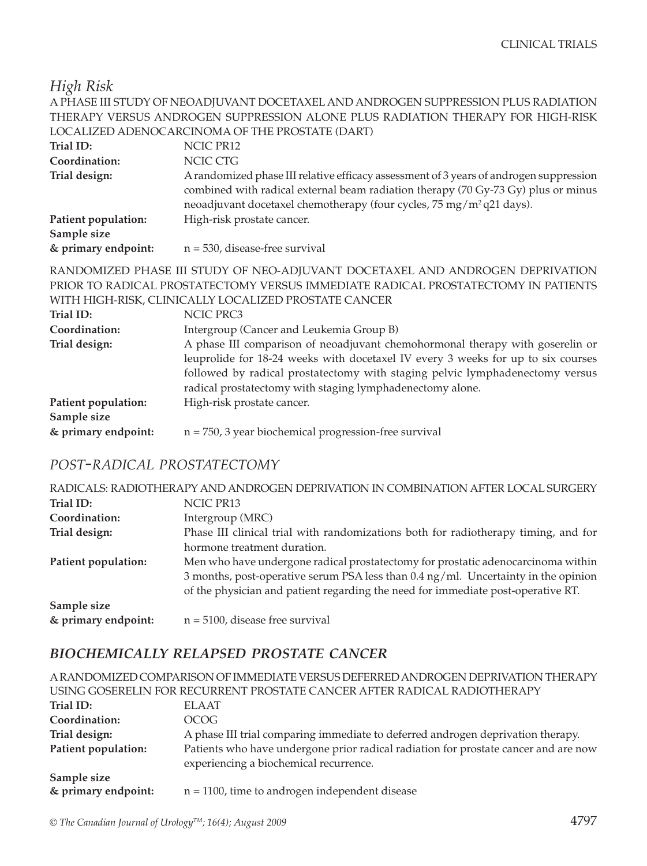*High Risk*

|                       | A PHASE III STUDY OF NEOADJUVANT DOCETAXEL AND ANDROGEN SUPPRESSION PLUS RADIATION                                                                                                                                                                                                                             |
|-----------------------|----------------------------------------------------------------------------------------------------------------------------------------------------------------------------------------------------------------------------------------------------------------------------------------------------------------|
|                       | THERAPY VERSUS ANDROGEN SUPPRESSION ALONE PLUS RADIATION THERAPY FOR HIGH-RISK                                                                                                                                                                                                                                 |
|                       | LOCALIZED ADENOCARCINOMA OF THE PROSTATE (DART)                                                                                                                                                                                                                                                                |
| Trial ID:             | NCIC PR12                                                                                                                                                                                                                                                                                                      |
| Coordination:         | NCIC CTG                                                                                                                                                                                                                                                                                                       |
| Trial design:         | A randomized phase III relative efficacy assessment of 3 years of androgen suppression<br>combined with radical external beam radiation therapy (70 Gy-73 Gy) plus or minus<br>neoadjuvant docetaxel chemotherapy (four cycles, 75 mg/m <sup>2</sup> q21 days).                                                |
| Patient population:   | High-risk prostate cancer.                                                                                                                                                                                                                                                                                     |
| Sample size           |                                                                                                                                                                                                                                                                                                                |
| & primary endpoint:   | $n = 530$ , disease-free survival                                                                                                                                                                                                                                                                              |
|                       | RANDOMIZED PHASE III STUDY OF NEO-ADJUVANT DOCETAXEL AND ANDROGEN DEPRIVATION<br>PRIOR TO RADICAL PROSTATECTOMY VERSUS IMMEDIATE RADICAL PROSTATECTOMY IN PATIENTS<br>WITH HIGH-RISK, CLINICALLY LOCALIZED PROSTATE CANCER                                                                                     |
| Trial ID:             | NCIC PRC3                                                                                                                                                                                                                                                                                                      |
| Coordination:         | Intergroup (Cancer and Leukemia Group B)                                                                                                                                                                                                                                                                       |
| Trial design:         | A phase III comparison of neoadjuvant chemohormonal therapy with goserelin or<br>leuprolide for 18-24 weeks with docetaxel IV every 3 weeks for up to six courses<br>followed by radical prostatectomy with staging pelvic lymphadenectomy versus<br>radical prostatectomy with staging lymphadenectomy alone. |
| Dation to an indicate | $\Box$ ch wiele myestote senser                                                                                                                                                                                                                                                                                |

| Trial ID:           | NCIC PRC3                                                                        |
|---------------------|----------------------------------------------------------------------------------|
| Coordination:       | Intergroup (Cancer and Leukemia Group B)                                         |
| Trial design:       | A phase III comparison of neoadjuvant chemohormonal therapy with goserelin or    |
|                     | leuprolide for 18-24 weeks with docetaxel IV every 3 weeks for up to six courses |
|                     | followed by radical prostatectomy with staging pelvic lymphadenectomy versus     |
|                     | radical prostatectomy with staging lymphadenectomy alone.                        |
| Patient population: | High-risk prostate cancer.                                                       |
| Sample size         |                                                                                  |
| & primary endpoint: | $n = 750$ , 3 year biochemical progression-free survival                         |
|                     |                                                                                  |

# *POST-RADICAL PROSTATECTOMY*

|                     | RADICALS: RADIOTHERAPY AND ANDROGEN DEPRIVATION IN COMBINATION AFTER LOCAL SURGERY |  |
|---------------------|------------------------------------------------------------------------------------|--|
| Trial ID:           | NCIC PR13                                                                          |  |
| Coordination:       | Intergroup (MRC)                                                                   |  |
| Trial design:       | Phase III clinical trial with randomizations both for radiotherapy timing, and for |  |
|                     | hormone treatment duration.                                                        |  |
| Patient population: | Men who have undergone radical prostatectomy for prostatic adenocarcinoma within   |  |
|                     | 3 months, post-operative serum PSA less than 0.4 ng/ml. Uncertainty in the opinion |  |
|                     | of the physician and patient regarding the need for immediate post-operative RT.   |  |
| Sample size         |                                                                                    |  |
| & primary endpoint: | $n = 5100$ , disease free survival                                                 |  |

# *BIOCHEMICALLY RELAPSED PROSTATE CANCER*

|                     | A RANDOMIZED COMPARISON OF IMMEDIATE VERSUS DEFERRED ANDROGEN DEPRIVATION THERAPY                                             |  |
|---------------------|-------------------------------------------------------------------------------------------------------------------------------|--|
|                     | USING GOSERELIN FOR RECURRENT PROSTATE CANCER AFTER RADICAL RADIOTHERAPY                                                      |  |
| Trial ID:           | ELAAT                                                                                                                         |  |
| Coordination:       | OCOG                                                                                                                          |  |
| Trial design:       | A phase III trial comparing immediate to deferred androgen deprivation therapy.                                               |  |
| Patient population: | Patients who have undergone prior radical radiation for prostate cancer and are now<br>experiencing a biochemical recurrence. |  |
| Sample size         |                                                                                                                               |  |
| & primary endpoint: | $n = 1100$ , time to androgen independent disease                                                                             |  |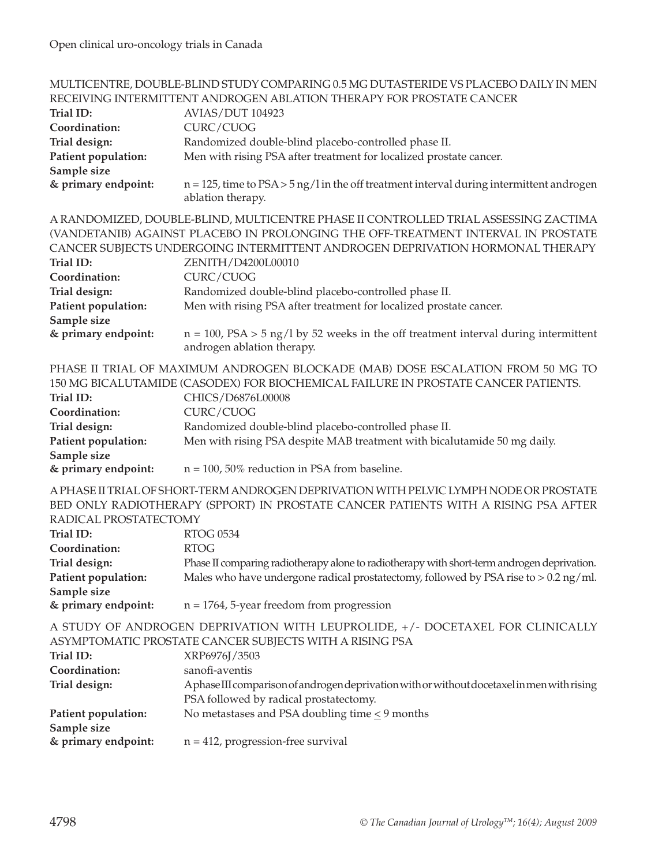|                                                                                                                                   | MULTICENTRE, DOUBLE-BLIND STUDY COMPARING 0.5 MG DUTASTERIDE VS PLACEBO DAILY IN MEN                                                                                                                                                                                                                                                                                                                                                                   |
|-----------------------------------------------------------------------------------------------------------------------------------|--------------------------------------------------------------------------------------------------------------------------------------------------------------------------------------------------------------------------------------------------------------------------------------------------------------------------------------------------------------------------------------------------------------------------------------------------------|
|                                                                                                                                   | RECEIVING INTERMITTENT ANDROGEN ABLATION THERAPY FOR PROSTATE CANCER                                                                                                                                                                                                                                                                                                                                                                                   |
| Trial ID:                                                                                                                         | <b>AVIAS/DUT 104923</b>                                                                                                                                                                                                                                                                                                                                                                                                                                |
| Coordination:                                                                                                                     | CURC/CUOG                                                                                                                                                                                                                                                                                                                                                                                                                                              |
| Trial design:                                                                                                                     | Randomized double-blind placebo-controlled phase II.                                                                                                                                                                                                                                                                                                                                                                                                   |
| Patient population:                                                                                                               | Men with rising PSA after treatment for localized prostate cancer.                                                                                                                                                                                                                                                                                                                                                                                     |
| Sample size                                                                                                                       |                                                                                                                                                                                                                                                                                                                                                                                                                                                        |
| & primary endpoint:                                                                                                               | $n = 125$ , time to $PSA > 5$ ng/l in the off treatment interval during intermittent androgen<br>ablation therapy.                                                                                                                                                                                                                                                                                                                                     |
| Trial ID:<br>Coordination:                                                                                                        | A RANDOMIZED, DOUBLE-BLIND, MULTICENTRE PHASE II CONTROLLED TRIAL ASSESSING ZACTIMA<br>(VANDETANIB) AGAINST PLACEBO IN PROLONGING THE OFF-TREATMENT INTERVAL IN PROSTATE<br>CANCER SUBJECTS UNDERGOING INTERMITTENT ANDROGEN DEPRIVATION HORMONAL THERAPY<br>ZENITH/D4200L00010<br>CURC/CUOG                                                                                                                                                           |
| Trial design:                                                                                                                     | Randomized double-blind placebo-controlled phase II.                                                                                                                                                                                                                                                                                                                                                                                                   |
| Patient population:                                                                                                               | Men with rising PSA after treatment for localized prostate cancer.                                                                                                                                                                                                                                                                                                                                                                                     |
| Sample size                                                                                                                       |                                                                                                                                                                                                                                                                                                                                                                                                                                                        |
| & primary endpoint:                                                                                                               | $n = 100$ , $PSA > 5$ ng/l by 52 weeks in the off treatment interval during intermittent<br>androgen ablation therapy.                                                                                                                                                                                                                                                                                                                                 |
| Trial ID:<br>Coordination:<br>Trial design:<br>Patient population:<br>Sample size                                                 | PHASE II TRIAL OF MAXIMUM ANDROGEN BLOCKADE (MAB) DOSE ESCALATION FROM 50 MG TO<br>150 MG BICALUTAMIDE (CASODEX) FOR BIOCHEMICAL FAILURE IN PROSTATE CANCER PATIENTS.<br>CHICS/D6876L00008<br>CURC/CUOG<br>Randomized double-blind placebo-controlled phase II.<br>Men with rising PSA despite MAB treatment with bicalutamide 50 mg daily.                                                                                                            |
| & primary endpoint:                                                                                                               | $n = 100$ , 50% reduction in PSA from baseline.                                                                                                                                                                                                                                                                                                                                                                                                        |
| RADICAL PROSTATECTOMY<br>Trial ID:<br>Coordination:<br>Trial design:<br>Patient population:<br>Sample size<br>& primary endpoint: | A PHASE II TRIAL OF SHORT-TERM ANDROGEN DEPRIVATION WITH PELVIC LYMPH NODE OR PROSTATE<br>BED ONLY RADIOTHERAPY (SPPORT) IN PROSTATE CANCER PATIENTS WITH A RISING PSA AFTER<br><b>RTOG 0534</b><br><b>RTOG</b><br>Phase II comparing radiotherapy alone to radiotherapy with short-term androgen deprivation.<br>Males who have undergone radical prostatectomy, followed by PSA rise to > 0.2 ng/ml.<br>$n = 1764$ , 5-year freedom from progression |
|                                                                                                                                   |                                                                                                                                                                                                                                                                                                                                                                                                                                                        |
| Trial ID:<br>Coordination:<br>Trial design:                                                                                       | A STUDY OF ANDROGEN DEPRIVATION WITH LEUPROLIDE, +/- DOCETAXEL FOR CLINICALLY<br>ASYMPTOMATIC PROSTATE CANCER SUBJECTS WITH A RISING PSA<br>XRP6976J/3503<br>sanofi-aventis<br>Aphase III comparison of androgen deprivation with or without docetaxel in men with rising<br>PSA followed by radical prostatectomy.                                                                                                                                    |
| Patient population:                                                                                                               | No metastases and PSA doubling time $\leq$ 9 months                                                                                                                                                                                                                                                                                                                                                                                                    |
| Sample size<br>& primary endpoint:                                                                                                | $n = 412$ , progression-free survival                                                                                                                                                                                                                                                                                                                                                                                                                  |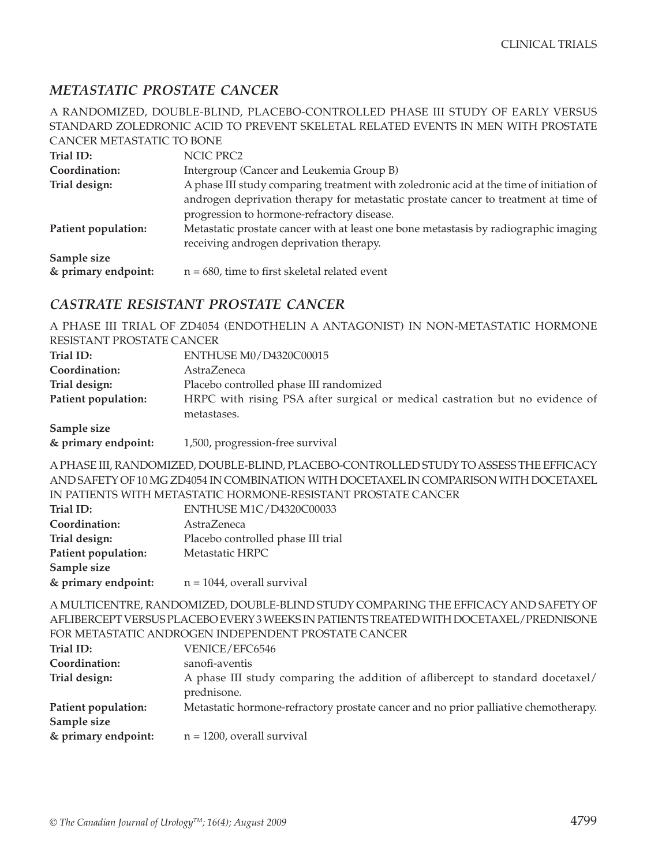#### *METASTATIC PROSTATE CANCER*

A RANDOMIZED, DOUBLE-BLIND, PLACEBO-CONTROLLED PHASE III STUDY OF EARLY VERSUS STANDARD ZOLEDRONIC ACID TO PREVENT SKELETAL RELATED EVENTS IN MEN WITH PROSTATE CANCER METASTATIC TO BONE

| Trial ID:                          | NCIC PRC2                                                                                                                                                                                                                    |
|------------------------------------|------------------------------------------------------------------------------------------------------------------------------------------------------------------------------------------------------------------------------|
| Coordination:                      | Intergroup (Cancer and Leukemia Group B)                                                                                                                                                                                     |
| Trial design:                      | A phase III study comparing treatment with zoledronic acid at the time of initiation of<br>androgen deprivation therapy for metastatic prostate cancer to treatment at time of<br>progression to hormone-refractory disease. |
| Patient population:                | Metastatic prostate cancer with at least one bone metastasis by radiographic imaging<br>receiving androgen deprivation therapy.                                                                                              |
| Sample size<br>& primary endpoint: | $n = 680$ , time to first skeletal related event                                                                                                                                                                             |

#### *CASTRATE RESISTANT PROSTATE CANCER*

A PHASE III TRIAL OF ZD4054 (ENDOTHELIN A ANTAGONIST) IN NON-METASTATIC HORMONE RESISTANT PROSTATE CANCER

| Trial ID:           | ENTHUSE M0/D4320C00015                                                       |  |  |
|---------------------|------------------------------------------------------------------------------|--|--|
| Coordination:       | <b>AstraZeneca</b>                                                           |  |  |
| Trial design:       | Placebo controlled phase III randomized                                      |  |  |
| Patient population: | HRPC with rising PSA after surgical or medical castration but no evidence of |  |  |
|                     | metastases.                                                                  |  |  |
| Sample size         |                                                                              |  |  |

#### **& primary endpoint:** 1,500, progression-free survival

A PHASE III, RANDOMIZED, DOUBLE-BLIND, PLACEBO-CONTROLLED STUDY TO ASSESS THE EFFICACY AND SAFETY OF 10 MG ZD4054 IN COMBINATION WITH DOCETAXEL IN COMPARISON WITH DOCETAXEL IN PATIENTS WITH METASTATIC HORMONE-RESISTANT PROSTATE CANCER

| Trial ID:           | ENTHUSE M1C/D4320C00033            |
|---------------------|------------------------------------|
| Coordination:       | AstraZeneca                        |
| Trial design:       | Placebo controlled phase III trial |
| Patient population: | Metastatic HRPC                    |
| Sample size         |                                    |
| & primary endpoint: | $n = 1044$ , overall survival      |

A MULTICENTRE, RANDOMIZED, DOUBLE-BLIND STUDY COMPARING THE EFFICACY AND SAFETY OF AFLIBERCEPT VERSUS PLACEBO EVERY 3 WEEKS IN PATIENTS TREATED WITH DOCETAXEL/PREDNISONE FOR METASTATIC ANDROGEN INDEPENDENT PROSTATE CANCER

| Trial ID:           | VENICE/EFC6546                                                                                |
|---------------------|-----------------------------------------------------------------------------------------------|
| Coordination:       | sanofi-aventis                                                                                |
| Trial design:       | A phase III study comparing the addition of aflibercept to standard docetaxel/<br>prednisone. |
| Patient population: | Metastatic hormone-refractory prostate cancer and no prior palliative chemotherapy.           |
| Sample size         |                                                                                               |
| & primary endpoint: | $n = 1200$ , overall survival                                                                 |